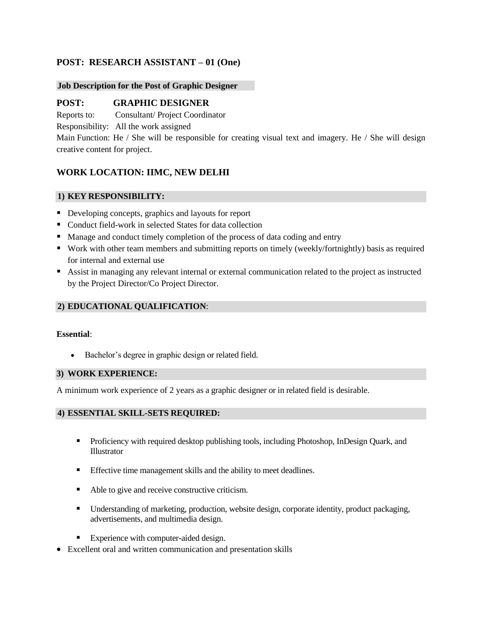# **POST: RESEARCH ASSISTANT – 01 (One)**

### **Job Description for the Post of Graphic Designer**

## **POST: GRAPHIC DESIGNER**

Reports to: Consultant/ Project Coordinator

Responsibility: All the work assigned

Main Function: He / She will be responsible for creating visual text and imagery. He / She will design creative content for project.

## **WORK LOCATION: IIMC, NEW DELHI**

## **1) KEY RESPONSIBILITY:**

- Developing concepts, graphics and layouts for report
- Conduct field-work in selected States for data collection
- Manage and conduct timely completion of the process of data coding and entry
- Work with other team members and submitting reports on timely (weekly/fortnightly) basis as required for internal and external use
- Assist in managing any relevant internal or external communication related to the project as instructed by the Project Director/Co Project Director.

## **2) EDUCATIONAL QUALIFICATION**:

#### **Essential**:

Bachelor's degree in graphic design or related field.

#### **3) WORK EXPERIENCE:**

A minimum work experience of 2 years as a graphic designer or in related field is desirable.

## **4) ESSENTIAL SKILL-SETS REQUIRED:**

- **•** Proficiency with required desktop publishing tools, including Photoshop, InDesign Quark, and Illustrator
- **Effective time management skills and the ability to meet deadlines.**
- Able to give and receive constructive criticism.
- Understanding of marketing, production, website design, corporate identity, product packaging, advertisements, and multimedia design.
- Experience with computer-aided design.
- Excellent oral and written communication and presentation skills